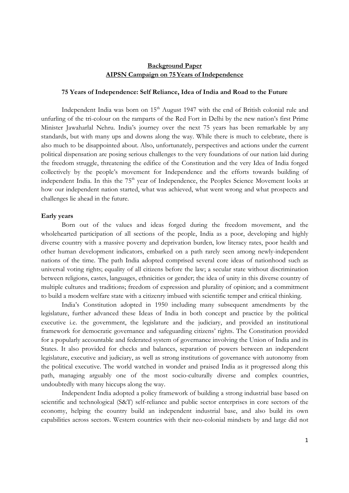# **Background Paper AIPSN Campaign on 75Years of Independence**

#### **75 Years of Independence: Self Reliance, Idea of India and Road to the Future**

Independent India was born on  $15<sup>th</sup>$  August 1947 with the end of British colonial rule and unfurling of the tri-colour on the ramparts of the Red Fort in Delhi by the new nation's first Prime Minister Jawaharlal Nehru. India's journey over the next 75 years has been remarkable by any standards, but with many ups and downs along the way. While there is much to celebrate, there is also much to be disappointed about. Also, unfortunately, perspectives and actions under the current political dispensation are posing serious challenges to the very foundations of our nation laid during the freedom struggle, threatening the edifice of the Constitution and the very Idea of India forged collectively by the people's movement for Independence and the efforts towards building of independent India. In this the 75<sup>th</sup> year of Independence, the Peoples Science Movement looks at how our independent nation started, what was achieved, what went wrong and what prospects and challenges lie ahead in the future.

## **Early years**

 Born out of the values and ideas forged during the freedom movement, and the wholehearted participation of all sections of the people, India as a poor, developing and highly diverse country with a massive poverty and deprivation burden, low literacy rates, poor health and other human development indicators, embarked on a path rarely seen among newly-independent nations of the time. The path India adopted comprised several core ideas of nationhood such as universal voting rights; equality of all citizens before the law; a secular state without discrimination between religions, castes, languages, ethnicities or gender; the idea of unity in this diverse country of multiple cultures and traditions; freedom of expression and plurality of opinion; and a commitment to build a modern welfare state with a citizenry imbued with scientific temper and critical thinking.

India's Constitution adopted in 1950 including many subsequent amendments by the legislature, further advanced these Ideas of India in both concept and practice by the political executive i.e. the government, the legislature and the judiciary, and provided an institutional framework for democratic governance and safeguarding citizens' rights. The Constitution provided for a popularly accountable and federated system of governance involving the Union of India and its States. It also provided for checks and balances, separation of powers between an independent legislature, executive and judiciary, as well as strong institutions of governance with autonomy from the political executive. The world watched in wonder and praised India as it progressed along this path, managing arguably one of the most socio-culturally diverse and complex countries, undoubtedly with many hiccups along the way.

 Independent India adopted a policy framework of building a strong industrial base based on scientific and technological (S&T) self-reliance and public sector enterprises in core sectors of the economy, helping the country build an independent industrial base, and also build its own capabilities across sectors. Western countries with their neo-colonial mindsets by and large did not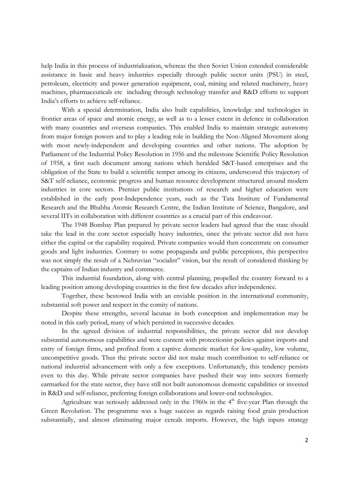help India in this process of industrialization, whereas the then Soviet Union extended considerable assistance in basic and heavy industries especially through public sector units (PSU) in steel, petroleum, electricity and power generation equipment, coal, mining and related machinery, heavy machines, pharmaceuticals etc including through technology transfer and R&D efforts to support India's efforts to achieve self-reliance.

With a special determination, India also built capabilities, knowledge and technologies in frontier areas of space and atomic energy, as well as to a lesser extent in defence in collaboration with many countries and overseas companies. This enabled India to maintain strategic autonomy from major foreign powers and to play a leading role in building the Non-Aligned Movement along with most newly-independent and developing countries and other nations. The adoption by Parliament of the Industrial Policy Resolution in 1956 and the milestone Scientific Policy Resolution of 1958, a first such document among nations which heralded S&T-based enterprises and the obligation of the State to build a scientific temper among its citizens, underscored this trajectory of S&T self-reliance, economic progress and human resource development structured around modern industries in core sectors. Premier public institutions of research and higher education were established in the early post-Independence years, such as the Tata Institute of Fundamental Research and the Bhabha Atomic Research Centre, the Indian Institute of Science, Bangalore, and several IITs in collaboration with different countries as a crucial part of this endeavour.

The 1948 Bombay Plan prepared by private sector leaders had agreed that the state should take the lead in the core sector especially heavy industries, since the private sector did not have either the capital or the capability required. Private companies would then concentrate on consumer goods and light industries. Contrary to some propaganda and public perceptions, this perspective was not simply the result of a Nehruvian "socialist" vision, but the result of considered thinking by the captains of Indian industry and commerce.

This industrial foundation, along with central planning, propelled the country forward to a leading position among developing countries in the first few decades after independence.

Together, these bestowed India with an enviable position in the international community, substantial soft power and respect in the comity of nations.

 Despite these strengths, several lacunae in both conception and implementation may be noted in this early period, many of which persisted in successive decades.

In the agreed division of industrial responsibilities, the private sector did not develop substantial autonomous capabilities and were content with protectionist policies against imports and entry of foreign firms, and profited from a captive domestic market for low-quality, low volume, uncompetitive goods. Thus the private sector did not make much contribution to self-reliance or national industrial advancement with only a few exceptions. Unfortunately, this tendency persists even to this day. While private sector companies have pushed their way into sectors formerly earmarked for the state sector, they have still not built autonomous domestic capabilities or invested in R&D and self-reliance, preferring foreign collaborations and lower-end technologies.

Agriculture was seriously addressed only in the 1960s in the  $4<sup>th</sup>$  five-year Plan through the Green Revolution. The programme was a huge success as regards raising food grain production substantially, and almost eliminating major cereals imports. However, the high inputs strategy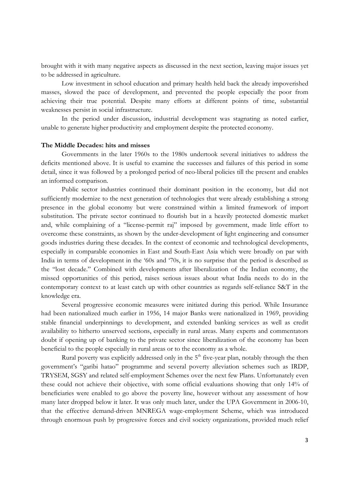brought with it with many negative aspects as discussed in the next section, leaving major issues yet to be addressed in agriculture.

Low investment in school education and primary health held back the already impoverished masses, slowed the pace of development, and prevented the people especially the poor from achieving their true potential. Despite many efforts at different points of time, substantial weaknesses persist in social infrastructure.

In the period under discussion, industrial development was stagnating as noted earlier, unable to generate higher productivity and employment despite the protected economy.

# **The Middle Decades: hits and misses**

 Governments in the later 1960s to the 1980s undertook several initiatives to address the deficits mentioned above. It is useful to examine the successes and failures of this period in some detail, since it was followed by a prolonged period of neo-liberal policies till the present and enables an informed comparison.

Public sector industries continued their dominant position in the economy, but did not sufficiently modernize to the next generation of technologies that were already establishing a strong presence in the global economy but were constrained within a limited framework of import substitution. The private sector continued to flourish but in a heavily protected domestic market and, while complaining of a "license-permit raj" imposed by government, made little effort to overcome these constraints, as shown by the under-development of light engineering and consumer goods industries during these decades. In the context of economic and technological developments, especially in comparable economies in East and South-East Asia which were broadly on par with India in terms of development in the '60s and '70s, it is no surprise that the period is described as the "lost decade." Combined with developments after liberalization of the Indian economy, the missed opportunities of this period, raises serious issues about what India needs to do in the contemporary context to at least catch up with other countries as regards self-reliance S&T in the knowledge era.

 Several progressive economic measures were initiated during this period. While Insurance had been nationalized much earlier in 1956, 14 major Banks were nationalized in 1969, providing stable financial underpinnings to development, and extended banking services as well as credit availability to hitherto unserved sections, especially in rural areas. Many experts and commentators doubt if opening up of banking to the private sector since liberalization of the economy has been beneficial to the people especially in rural areas or to the economy as a whole.

Rural poverty was explicitly addressed only in the  $5<sup>th</sup>$  five-year plan, notably through the then government's "garibi hatao" programme and several poverty alleviation schemes such as IRDP, TRYSEM, SGSY and related self-employment Schemes over the next few Plans. Unfortunately even these could not achieve their objective, with some official evaluations showing that only 14% of beneficiaries were enabled to go above the poverty line, however without any assessment of how many later dropped below it later. It was only much later, under the UPA Government in 2006-10, that the effective demand-driven MNREGA wage-employment Scheme, which was introduced through enormous push by progressive forces and civil society organizations, provided much relief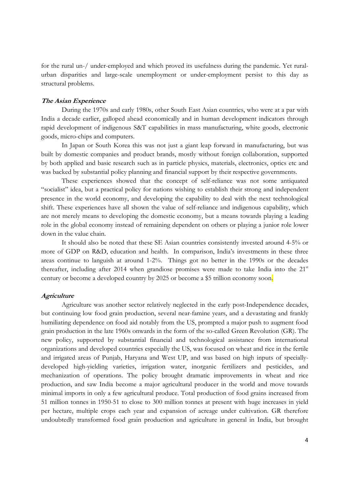for the rural un-/ under-employed and which proved its usefulness during the pandemic. Yet ruralurban disparities and large-scale unemployment or under-employment persist to this day as structural problems.

# **The Asian Experience**

 During the 1970s and early 1980s, other South East Asian countries, who were at a par with India a decade earlier, galloped ahead economically and in human development indicators through rapid development of indigenous S&T capabilities in mass manufacturing, white goods, electronic goods, micro-chips and computers.

In Japan or South Korea this was not just a giant leap forward in manufacturing, but was built by domestic companies and product brands, mostly without foreign collaboration, supported by both applied and basic research such as in particle physics, materials, electronics, optics etc and was backed by substantial policy planning and financial support by their respective governments.

These experiences showed that the concept of self-reliance was not some antiquated "socialist" idea, but a practical policy for nations wishing to establish their strong and independent presence in the world economy, and developing the capability to deal with the next technological shift. These experiences have all shown the value of self-reliance and indigenous capability, which are not merely means to developing the domestic economy, but a means towards playing a leading role in the global economy instead of remaining dependent on others or playing a junior role lower down in the value chain.

It should also be noted that these SE Asian countries consistently invested around 4-5% or more of GDP on R&D, education and health. In comparison, India's investments in these three areas continue to languish at around 1-2%. Things got no better in the 1990s or the decades thereafter, including after 2014 when grandiose promises were made to take India into the 21<sup>st</sup> century or become a developed country by 2025 or become a \$5 trillion economy soon.

#### **Agriculture**

 Agriculture was another sector relatively neglected in the early post-Independence decades, but continuing low food grain production, several near-famine years, and a devastating and frankly humiliating dependence on food aid notably from the US, prompted a major push to augment food grain production in the late 1960s onwards in the form of the so-called Green Revolution (GR). The new policy, supported by substantial financial and technological assistance from international organizations and developed countries especially the US, was focused on wheat and rice in the fertile and irrigated areas of Punjab, Haryana and West UP, and was based on high inputs of speciallydeveloped high-yielding varieties, irrigation water, inorganic fertilizers and pesticides, and mechanization of operations. The policy brought dramatic improvements in wheat and rice production, and saw India become a major agricultural producer in the world and move towards minimal imports in only a few agricultural produce. Total production of food grains increased from 51 million tonnes in 1950-51 to close to 300 million tonnes at present with huge increases in yield per hectare, multiple crops each year and expansion of acreage under cultivation. GR therefore undoubtedly transformed food grain production and agriculture in general in India, but brought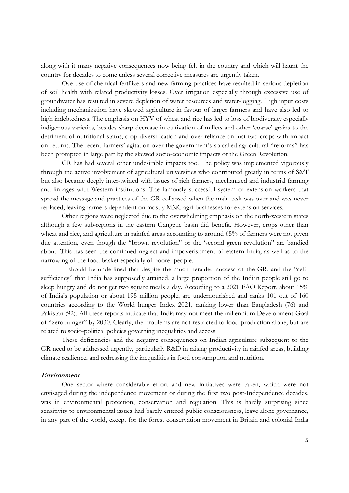along with it many negative consequences now being felt in the country and which will haunt the country for decades to come unless several corrective measures are urgently taken.

 Overuse of chemical fertilizers and new farming practices have resulted in serious depletion of soil health with related productivity losses. Over irrigation especially through excessive use of groundwater has resulted in severe depletion of water resources and water-logging. High input costs including mechanization have skewed agriculture in favour of larger farmers and have also led to high indebtedness. The emphasis on HYV of wheat and rice has led to loss of biodiversity especially indigenous varieties, besides sharp decrease in cultivation of millets and other 'coarse' grains to the detriment of nutritional status, crop diversification and over-reliance on just two crops with impact on returns. The recent farmers' agitation over the government's so-called agricultural "reforms" has been prompted in large part by the skewed socio-economic impacts of the Green Revolution.

 GR has had several other undesirable impacts too. The policy was implemented vigorously through the active involvement of agricultural universities who contributed greatly in terms of S&T but also became deeply inter-twined with issues of rich farmers, mechanized and industrial farming and linkages with Western institutions. The famously successful system of extension workers that spread the message and practices of the GR collapsed when the main task was over and was never replaced, leaving farmers dependent on mostly MNC agri-businesses for extension services.

 Other regions were neglected due to the overwhelming emphasis on the north-western states although a few sub-regions in the eastern Gangetic basin did benefit. However, crops other than wheat and rice, and agriculture in rainfed areas accounting to around 65% of farmers were not given due attention, even though the "brown revolution" or the 'second green revolution" are bandied about. This has seen the continued neglect and impoverishment of eastern India, as well as to the narrowing of the food basket especially of poorer people.

 It should be underlined that despite the much heralded success of the GR, and the "selfsufficiency" that India has supposedly attained, a large proportion of the Indian people still go to sleep hungry and do not get two square meals a day. According to a 2021 FAO Report, about 15% of India's population or about 195 million people, are undernourished and ranks 101 out of 160 countries according to the World hunger Index 2021, ranking lower than Bangladesh (76) and Pakistan (92). All these reports indicate that India may not meet the millennium Development Goal of "zero hunger" by 2030. Clearly, the problems are not restricted to food production alone, but are related to socio-political policies governing inequalities and access.

 These deficiencies and the negative consequences on Indian agriculture subsequent to the GR need to be addressed urgently, particularly R&D in raising productivity in rainfed areas, building climate resilience, and redressing the inequalities in food consumption and nutrition.

# **Environment**

 One sector where considerable effort and new initiatives were taken, which were not envisaged during the independence movement or during the first two post-Independence decades, was in environmental protection, conservation and regulation. This is hardly surprising since sensitivity to environmental issues had barely entered public consciousness, leave alone governance, in any part of the world, except for the forest conservation movement in Britain and colonial India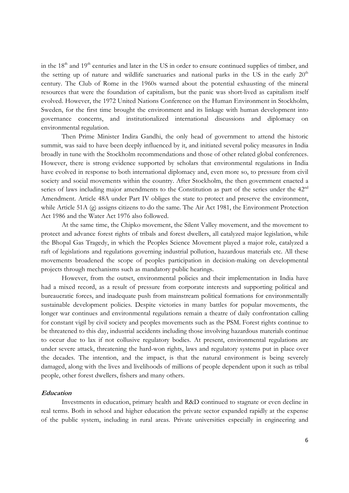in the  $18<sup>th</sup>$  and  $19<sup>th</sup>$  centuries and later in the US in order to ensure continued supplies of timber, and the setting up of nature and wildlife sanctuaries and national parks in the US in the early  $20<sup>th</sup>$ century. The Club of Rome in the 1960s warned about the potential exhausting of the mineral resources that were the foundation of capitalism, but the panic was short-lived as capitalism itself evolved. However, the 1972 United Nations Conference on the Human Environment in Stockholm, Sweden, for the first time brought the environment and its linkage with human development into governance concerns, and institutionalized international discussions and diplomacy on environmental regulation.

 Then Prime Minister Indira Gandhi, the only head of government to attend the historic summit, was said to have been deeply influenced by it, and initiated several policy measures in India broadly in tune with the Stockholm recommendations and those of other related global conferences. However, there is strong evidence supported by scholars that environmental regulations in India have evolved in response to both international diplomacy and, even more so, to pressure from civil society and social movements within the country. After Stockholm, the then government enacted a series of laws including major amendments to the Constitution as part of the series under the 42<sup>nd</sup> Amendment. Article 48A under Part IV obliges the state to protect and preserve the environment, while Article 51A (g) assigns citizens to do the same. The Air Act 1981, the Environment Protection Act 1986 and the Water Act 1976 also followed.

At the same time, the Chipko movement, the Silent Valley movement, and the movement to protect and advance forest rights of tribals and forest dwellers, all catalyzed major legislation, while the Bhopal Gas Tragedy, in which the Peoples Science Movement played a major role, catalyzed a raft of legislations and regulations governing industrial pollution, hazardous materials etc. All these movements broadened the scope of peoples participation in decision-making on developmental projects through mechanisms such as mandatory public hearings.

However, from the outset, environmental policies and their implementation in India have had a mixed record, as a result of pressure from corporate interests and supporting political and bureaucratic forces, and inadequate push from mainstream political formations for environmentally sustainable development policies. Despite victories in many battles for popular movements, the longer war continues and environmental regulations remain a theatre of daily confrontation calling for constant vigil by civil society and peoples movements such as the PSM. Forest rights continue to be threatened to this day, industrial accidents including those involving hazardous materials continue to occur due to lax if not collusive regulatory bodies. At present, environmental regulations are under severe attack, threatening the hard-won rights, laws and regulatory systems put in place over the decades. The intention, and the impact, is that the natural environment is being severely damaged, along with the lives and livelihoods of millions of people dependent upon it such as tribal people, other forest dwellers, fishers and many others.

## **Education**

 Investments in education, primary health and R&D continued to stagnate or even decline in real terms. Both in school and higher education the private sector expanded rapidly at the expense of the public system, including in rural areas. Private universities especially in engineering and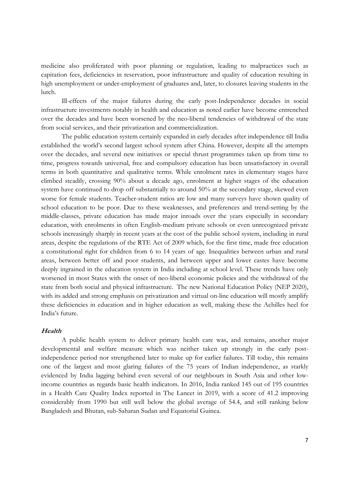medicine also proliferated with poor planning or regulation, leading to malpractices such as capitation fees, deficiencies in reservation, poor infrastructure and quality of education resulting in high unemployment or under-employment of graduates and, later, to closures leaving students in the lurch.

Ill-effects of the major failures during the early post-Independence decades in social infrastructure investments notably in health and education as noted earlier have become entrenched over the decades and have been worsened by the neo-liberal tendencies of withdrawal of the state from social services, and their privatization and commercialization.

The public education system certainly expanded in early decades after independence till India established the world's second largest school system after China. However, despite all the attempts over the decades, and several new initiatives or special thrust programmes taken up from time to time, progress towards universal, free and compulsory education has been unsatisfactory in overall terms in both quantitative and qualitative terms. While enrolment rates in elementary stages have climbed steadily, crossing 90% about a decade ago, enrolment at higher stages of the education system have continued to drop off substantially to around 50% at the secondary stage, skewed even worse for female students. Teacher-student ratios are low and many surveys have shown quality of school education to be poor. Due to these weaknesses, and preferences and trend-setting by the middle-classes, private education has made major inroads over the years especially in secondary education, with enrolments in often English-medium private schools or even unrecognized private schools increasingly sharply in recent years at the cost of the public school system, including in rural areas, despite the regulations of the RTE Act of 2009 which, for the first time, made free education a constitutional right for children from 6 to 14 years of age. Inequalities between urban and rural areas, between better off and poor students, and between upper and lower castes have become deeply ingrained in the education system in India including at school level. These trends have only worsened in most States with the onset of neo-liberal economic policies and the withdrawal of the state from both social and physical infrastructure. The new National Education Policy (NEP 2020), with its added and strong emphasis on privatization and virtual on-line education will mostly amplify these deficiencies in education and in higher education as well, making these the Achilles heel for India's future.

#### **Health**

 A public health system to deliver primary health care was, and remains, another major developmental and welfare measure which was neither taken up strongly in the early postindependence period nor strengthened later to make up for earlier failures. Till today, this remains one of the largest and most glaring failures of the 75 years of Indian independence, as starkly evidenced by India lagging behind even several of our neighbours in South Asia and other lowincome countries as regards basic health indicators. In 2016, India ranked 145 out of 195 countries in a Health Care Quality Index reported in The Lancet in 2019, with a score of 41.2 improving considerably from 1990 but still well below the global average of 54.4, and still ranking below Bangladesh and Bhutan, sub-Saharan Sudan and Equatorial Guinea.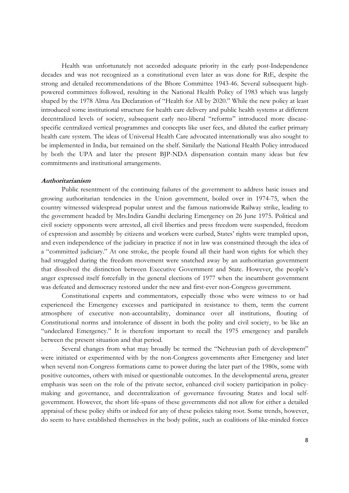Health was unfortunately not accorded adequate priority in the early post-Independence decades and was not recognized as a constitutional even later as was done for RtE, despite the strong and detailed recommendations of the Bhore Committee 1943-46. Several subsequent highpowered committees followed, resulting in the National Health Policy of 1983 which was largely shaped by the 1978 Alma Ata Declaration of "Health for All by 2020." While the new policy at least introduced some institutional structure for health care delivery and public health systems at different decentralized levels of society, subsequent early neo-liberal "reforms" introduced more diseasespecific centralized vertical programmes and concepts like user fees, and diluted the earlier primary health care system. The ideas of Universal Health Care advocated internationally was also sought to be implemented in India, but remained on the shelf. Similarly the National Health Policy introduced by both the UPA and later the present BJP-NDA dispensation contain many ideas but few commitments and institutional arrangements.

#### **Authoritarianism**

 Public resentment of the continuing failures of the government to address basic issues and growing authoritarian tendencies in the Union government, boiled over in 1974-75, when the country witnessed widespread popular unrest and the famous nationwide Railway strike, leading to the government headed by Mrs.Indira Gandhi declaring Emergency on 26 June 1975. Political and civil society opponents were arrested, all civil liberties and press freedom were suspended, freedom of expression and assembly by citizens and workers were curbed, States' rights were trampled upon, and even independence of the judiciary in practice if not in law was constrained through the idea of a "committed judiciary." At one stroke, the people found all their hard won rights for which they had struggled during the freedom movement were snatched away by an authoritarian government that dissolved the distinction between Executive Government and State. However, the people's anger expressed itself forcefully in the general elections of 1977 when the incumbent government was defeated and democracy restored under the new and first-ever non-Congress government.

Constitutional experts and commentators, especially those who were witness to or had experienced the Emergency excesses and participated in resistance to them, term the current atmosphere of executive non-accountability, dominance over all institutions, flouting of Constitutional norms and intolerance of dissent in both the polity and civil society, to be like an "undeclared Emergency." It is therefore important to recall the 1975 emergency and parallels between the present situation and that period.

. Several changes from what may broadly be termed the "Nehruvian path of development" were initiated or experimented with by the non-Congress governments after Emergency and later when several non-Congress formations came to power during the later part of the 1980s, some with positive outcomes, others with mixed or questionable outcomes. In the developmental arena, greater emphasis was seen on the role of the private sector, enhanced civil society participation in policymaking and governance, and decentralization of governance favouring States and local selfgovernment. However, the short life-spans of these governments did not allow for either a detailed appraisal of these policy shifts or indeed for any of these policies taking root. Some trends, however, do seem to have established themselves in the body politic, such as coalitions of like-minded forces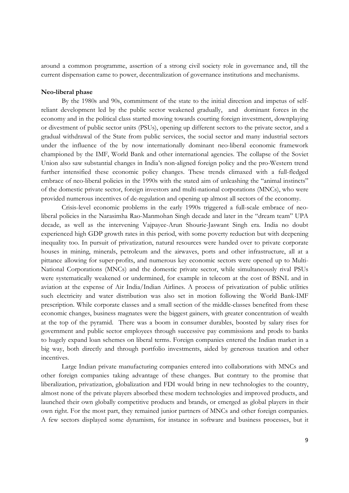around a common programme, assertion of a strong civil society role in governance and, till the current dispensation came to power, decentralization of governance institutions and mechanisms.

## **Neo-liberal phase**

 By the 1980s and 90s, commitment of the state to the initial direction and impetus of selfreliant development led by the public sector weakened gradually, and dominant forces in the economy and in the political class started moving towards courting foreign investment, downplaying or divestment of public sector units (PSUs), opening up different sectors to the private sector, and a gradual withdrawal of the State from public services, the social sector and many industrial sectors under the influence of the by now internationally dominant neo-liberal economic framework championed by the IMF, World Bank and other international agencies. The collapse of the Soviet Union also saw substantial changes in India's non-aligned foreign policy and the pro-Western trend further intensified these economic policy changes. These trends climaxed with a full-fledged embrace of neo-liberal policies in the 1990s with the stated aim of unleashing the "animal instincts" of the domestic private sector, foreign investors and multi-national corporations (MNCs), who were provided numerous incentives of de-regulation and opening up almost all sectors of the economy.

Crisis-level economic problems in the early 1990s triggered a full-scale embrace of neoliberal policies in the Narasimha Rao-Manmohan Singh decade and later in the "dream team" UPA decade, as well as the intervening Vajpayee-Arun Shourie-Jaswant Singh era. India no doubt experienced high GDP growth rates in this period, with some poverty reduction but with deepening inequality too. In pursuit of privatization, natural resources were handed over to private corporate houses in mining, minerals, petroleum and the airwaves, ports and other infrastructure, all at a pittance allowing for super-profits, and numerous key economic sectors were opened up to Multi-National Corporations (MNCs) and the domestic private sector, while simultaneously rival PSUs were systematically weakened or undermined, for example in telecom at the cost of BSNL and in aviation at the expense of Air India/Indian Airlines. A process of privatization of public utilities such electricity and water distribution was also set in motion following the World Bank-IMF prescription. While corporate classes and a small section of the middle-classes benefited from these economic changes, business magnates were the biggest gainers, with greater concentration of wealth at the top of the pyramid. There was a boom in consumer durables, boosted by salary rises for government and public sector employees through successive pay commissions and prods to banks to hugely expand loan schemes on liberal terms. Foreign companies entered the Indian market in a big way, both directly and through portfolio investments, aided by generous taxation and other incentives.

Large Indian private manufacturing companies entered into collaborations with MNCs and other foreign companies taking advantage of these changes. But contrary to the promise that liberalization, privatization, globalization and FDI would bring in new technologies to the country, almost none of the private players absorbed these modern technologies and improved products, and launched their own globally competitive products and brands, or emerged as global players in their own right. For the most part, they remained junior partners of MNCs and other foreign companies. A few sectors displayed some dynamism, for instance in software and business processes, but it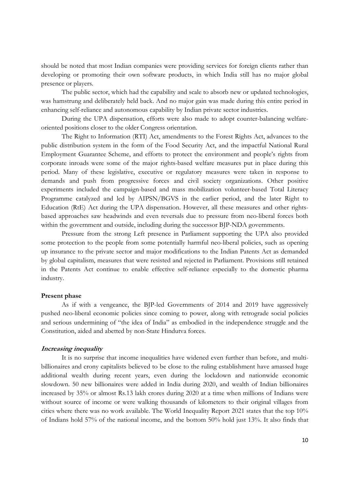should be noted that most Indian companies were providing services for foreign clients rather than developing or promoting their own software products, in which India still has no major global presence or players.

The public sector, which had the capability and scale to absorb new or updated technologies, was hamstrung and deliberately held back. And no major gain was made during this entire period in enhancing self-reliance and autonomous capability by Indian private sector industries.

During the UPA dispensation, efforts were also made to adopt counter-balancing welfareoriented positions closer to the older Congress orientation.

 The Right to Information (RTI) Act, amendments to the Forest Rights Act, advances to the public distribution system in the form of the Food Security Act, and the impactful National Rural Employment Guarantee Scheme, and efforts to protect the environment and people's rights from corporate inroads were some of the major rights-based welfare measures put in place during this period. Many of these legislative, executive or regulatory measures were taken in response to demands and push from progressive forces and civil society organizations. Other positive experiments included the campaign-based and mass mobilization volunteer-based Total Literacy Programme catalyzed and led by AIPSN/BGVS in the earlier period, and the later Right to Education (RtE) Act during the UPA dispensation. However, all these measures and other rightsbased approaches saw headwinds and even reversals due to pressure from neo-liberal forces both within the government and outside, including during the successor BJP-NDA governments.

 Pressure from the strong Left presence in Parliament supporting the UPA also provided some protection to the people from some potentially harmful neo-liberal policies, such as opening up insurance to the private sector and major modifications to the Indian Patents Act as demanded by global capitalism, measures that were resisted and rejected in Parliament. Provisions still retained in the Patents Act continue to enable effective self-reliance especially to the domestic pharma industry.

#### **Present phase**

 As if with a vengeance, the BJP-led Governments of 2014 and 2019 have aggressively pushed neo-liberal economic policies since coming to power, along with retrograde social policies and serious undermining of "the idea of India" as embodied in the independence struggle and the Constitution, aided and abetted by non-State Hindutva forces.

## **Increasing inequality**

 It is no surprise that income inequalities have widened even further than before, and multibillionaires and crony capitalists believed to be close to the ruling establishment have amassed huge additional wealth during recent years, even during the lockdown and nationwide economic slowdown. 50 new billionaires were added in India during 2020, and wealth of Indian billionaires increased by 35% or almost Rs.13 lakh crores during 2020 at a time when millions of Indians were without source of income or were walking thousands of kilometers to their original villages from cities where there was no work available. The World Inequality Report 2021 states that the top 10% of Indians hold 57% of the national income, and the bottom 50% hold just 13%. It also finds that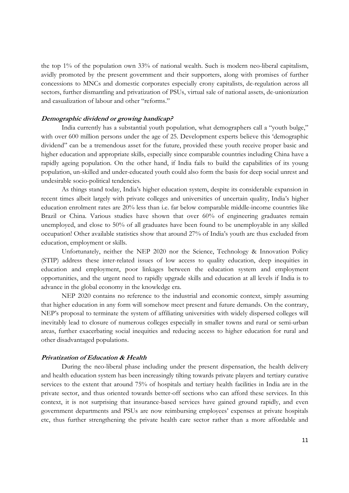the top 1% of the population own 33% of national wealth. Such is modern neo-liberal capitalism, avidly promoted by the present government and their supporters, along with promises of further concessions to MNCs and domestic corporates especially crony capitalists, de-regulation across all sectors, further dismantling and privatization of PSUs, virtual sale of national assets, de-unionization and casualization of labour and other "reforms."

# **Demographic dividend or growing handicap?**

 India currently has a substantial youth population, what demographers call a "youth bulge," with over 600 million persons under the age of 25. Development experts believe this 'demographic dividend" can be a tremendous asset for the future, provided these youth receive proper basic and higher education and appropriate skills, especially since comparable countries including China have a rapidly ageing population. On the other hand, if India fails to build the capabilities of its young population, un-skilled and under-educated youth could also form the basis for deep social unrest and undesirable socio-political tendencies.

As things stand today, India's higher education system, despite its considerable expansion in recent times albeit largely with private colleges and universities of uncertain quality, India's higher education enrolment rates are 20% less than i.e. far below comparable middle-income countries like Brazil or China. Various studies have shown that over 60% of engineering graduates remain unemployed, and close to 50% of all graduates have been found to be unemployable in any skilled occupation! Other available statistics show that around 27% of India's youth are thus excluded from education, employment or skills.

Unfortunately, neither the NEP 2020 nor the Science, Technology & Innovation Policy (STIP) address these inter-related issues of low access to quality education, deep inequities in education and employment, poor linkages between the education system and employment opportunities, and the urgent need to rapidly upgrade skills and education at all levels if India is to advance in the global economy in the knowledge era.

NEP 2020 contains no reference to the industrial and economic context, simply assuming that higher education in any form will somehow meet present and future demands. On the contrary, NEP's proposal to terminate the system of affiliating universities with widely dispersed colleges will inevitably lead to closure of numerous colleges especially in smaller towns and rural or semi-urban areas, further exacerbating social inequities and reducing access to higher education for rural and other disadvantaged populations.

### **Privatization of Education & Health**

 During the neo-liberal phase including under the present dispensation, the health delivery and health education system has been increasingly tilting towards private players and tertiary curative services to the extent that around 75% of hospitals and tertiary health facilities in India are in the private sector, and thus oriented towards better-off sections who can afford these services. In this context, it is not surprising that insurance-based services have gained ground rapidly, and even government departments and PSUs are now reimbursing employees' expenses at private hospitals etc, thus further strengthening the private health care sector rather than a more affordable and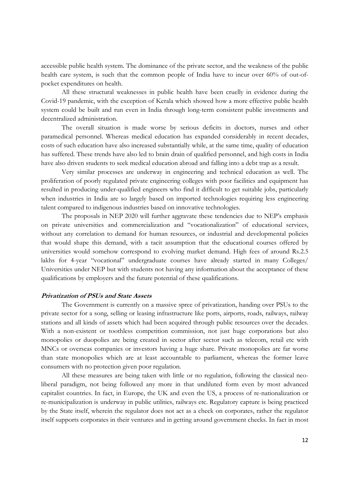accessible public health system. The dominance of the private sector, and the weakness of the public health care system, is such that the common people of India have to incur over 60% of out-ofpocket expenditures on health.

All these structural weaknesses in public health have been cruelly in evidence during the Covid-19 pandemic, with the exception of Kerala which showed how a more effective public health system could be built and run even in India through long-term consistent public investments and decentralized administration.

The overall situation is made worse by serious deficits in doctors, nurses and other paramedical personnel. Whereas medical education has expanded considerably in recent decades, costs of such education have also increased substantially while, at the same time, quality of education has suffered. These trends have also led to brain drain of qualified personnel, and high costs in India have also driven students to seek medical education abroad and falling into a debt trap as a result.

Very similar processes are underway in engineering and technical education as well. The proliferation of poorly regulated private engineering colleges with poor facilities and equipment has resulted in producing under-qualified engineers who find it difficult to get suitable jobs, particularly when industries in India are so largely based on imported technologies requiring less engineering talent compared to indigenous industries based on innovative technologies.

The proposals in NEP 2020 will further aggravate these tendencies due to NEP's emphasis on private universities and commercialization and "vocationalization" of educational services, without any correlation to demand for human resources, or industrial and developmental policies that would shape this demand, with a tacit assumption that the educational courses offered by universities would somehow correspond to evolving market demand. High fees of around Rs.2.5 lakhs for 4-year "vocational" undergraduate courses have already started in many Colleges/ Universities under NEP but with students not having any information about the acceptance of these qualifications by employers and the future potential of these qualifications.

# **Privatization of PSUs and State Assets**

 The Government is currently on a massive spree of privatization, handing over PSUs to the private sector for a song, selling or leasing infrastructure like ports, airports, roads, railways, railway stations and all kinds of assets which had been acquired through public resources over the decades. With a non-existent or toothless competition commission, not just huge corporations but also monopolies or duopolies are being created in sector after sector such as telecom, retail etc with MNCs or overseas companies or investors having a huge share. Private monopolies are far worse than state monopolies which are at least accountable to parliament, whereas the former leave consumers with no protection given poor regulation.

All these measures are being taken with little or no regulation, following the classical neoliberal paradigm, not being followed any more in that undiluted form even by most advanced capitalist countries. In fact, in Europe, the UK and even the US, a process of re-nationalization or re-municipalization is underway in public utilities, railways etc. Regulatory capture is being practiced by the State itself, wherein the regulator does not act as a check on corporates, rather the regulator itself supports corporates in their ventures and in getting around government checks. In fact in most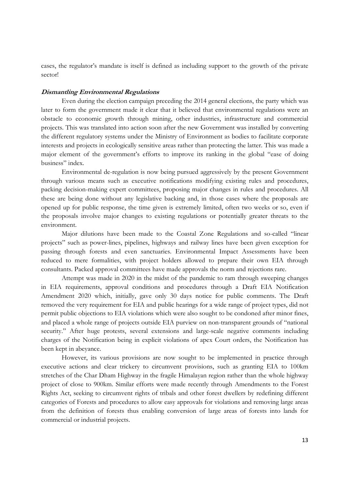cases, the regulator's mandate is itself is defined as including support to the growth of the private sector!

### **Dismantling Environmental Regulations**

 Even during the election campaign preceding the 2014 general elections, the party which was later to form the government made it clear that it believed that environmental regulations were an obstacle to economic growth through mining, other industries, infrastructure and commercial projects. This was translated into action soon after the new Government was installed by converting the different regulatory systems under the Ministry of Environment as bodies to facilitate corporate interests and projects in ecologically sensitive areas rather than protecting the latter. This was made a major element of the government's efforts to improve its ranking in the global "ease of doing business" index.

Environmental de-regulation is now being pursued aggressively by the present Government through various means such as executive notifications modifying existing rules and procedures, packing decision-making expert committees, proposing major changes in rules and procedures. All these are being done without any legislative backing and, in those cases where the proposals are opened up for public response, the time given is extremely limited, often two weeks or so, even if the proposals involve major changes to existing regulations or potentially greater threats to the environment.

Major dilutions have been made to the Coastal Zone Regulations and so-called "linear projects" such as power-lines, pipelines, highways and railway lines have been given exception for passing through forests and even sanctuaries. Environmental Impact Assessments have been reduced to mere formalities, with project holders allowed to prepare their own EIA through consultants. Packed approval committees have made approvals the norm and rejections rare.

Attempt was made in 2020 in the midst of the pandemic to ram through sweeping changes in EIA requirements, approval conditions and procedures through a Draft EIA Notification Amendment 2020 which, initially, gave only 30 days notice for public comments. The Draft removed the very requirement for EIA and public hearings for a wide range of project types, did not permit public objections to EIA violations which were also sought to be condoned after minor fines, and placed a whole range of projects outside EIA purview on non-transparent grounds of "national security." After huge protests, several extensions and large-scale negative comments including charges of the Notification being in explicit violations of apex Court orders, the Notification has been kept in abeyance.

However, its various provisions are now sought to be implemented in practice through executive actions and clear trickery to circumvent provisions, such as granting EIA to 100km stretches of the Char Dham Highway in the fragile Himalayan region rather than the whole highway project of close to 900km. Similar efforts were made recently through Amendments to the Forest Rights Act, seeking to circumvent rights of tribals and other forest dwellers by redefining different categories of Forests and procedures to allow easy approvals for violations and removing large areas from the definition of forests thus enabling conversion of large areas of forests into lands for commercial or industrial projects.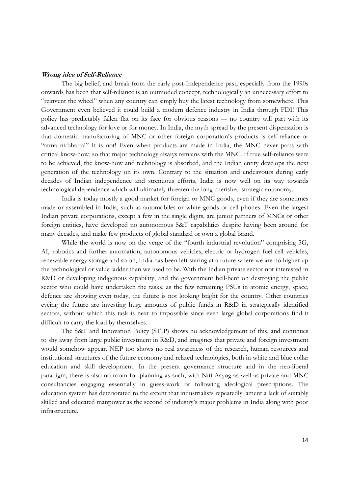### **Wrong idea of Self-Reliance**

 The big belief, and break from the early post-Independence past, especially from the 1990s onwards has been that self-reliance is an outmoded concept, technologically an unnecessary effort to "reinvent the wheel" when any country can simply buy the latest technology from somewhere. This Government even believed it could build a modern defence industry in India through FDI! This policy has predictably fallen flat on its face for obvious reasons --- no country will part with its advanced technology for love or for money. In India, the myth spread by the present dispensation is that domestic manufacturing of MNC or other foreign corporation's products is self-reliance or "atma nirbharta!" It is not! Even when products are made in India, the MNC never parts with critical know-how, so that major technology always remains with the MNC. If true self-reliance were to be achieved, the know-how and technology is absorbed, and the Indian entity develops the next generation of the technology on its own. Contrary to the situation and endeavours during early decades of Indian independence and strenuous efforts, India is now well on its way towards technological dependence which will ultimately threaten the long cherished strategic autonomy.

India is today mostly a good market for foreign or MNC goods, even if they are sometimes made or assembled in India, such as automobiles or white goods or cell phones. Even the largest Indian private corporations, except a few in the single digits, are junior partners of MNCs or other foreign entities, have developed no autonomous S&T capabilities despite having been around for many decades, and make few products of global standard or own a global brand.

While the world is now on the verge of the "fourth industrial revolution" comprising 5G, AI, robotics and further automation, autonomous vehicles, electric or hydrogen fuel-cell vehicles, renewable energy storage and so on, India has been left staring at a future where we are no higher up the technological or value ladder than we used to be. With the Indian private sector not interested in R&D or developing indigenous capability, and the government hell-bent on destroying the public sector who could have undertaken the tasks, as the few remaining PSUs in atomic energy, space, defence are showing even today, the future is not looking bright for the country. Other countries eyeing the future are investing huge amounts of public funds in R&D in strategically identified sectors, without which this task is next to impossible since even large global corporations find it difficult to carry the load by themselves.

The S&T and Innovation Policy (STIP) shows no acknowledgement of this, and continues to shy away from large public investment in R&D, and imagines that private and foreign investment would somehow appear. NEP too shows no real awareness of the research, human resources and institutional structures of the future economy and related technologies, both in white and blue collar education and skill development. In the present governance structure and in the neo-liberal paradigm, there is also no room for planning as such, with Niti Aayog as well as private and MNC consultancies engaging essentially in guess-work or following ideological prescriptions. The education system has deteriorated to the extent that industrialists repeatedly lament a lack of suitably skilled and educated manpower as the second of industry's major problems in India along with poor infrastructure.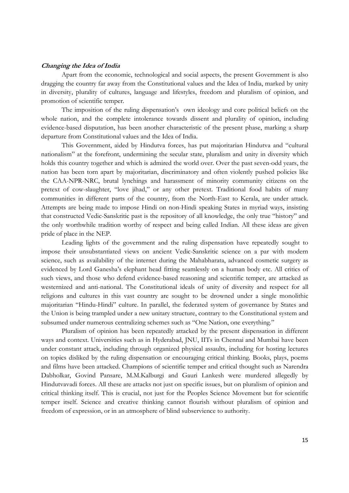#### **Changing the Idea of India**

 Apart from the economic, technological and social aspects, the present Government is also dragging the country far away from the Constitutional values and the Idea of India, marked by unity in diversity, plurality of cultures, language and lifestyles, freedom and pluralism of opinion, and promotion of scientific temper.

The imposition of the ruling dispensation's own ideology and core political beliefs on the whole nation, and the complete intolerance towards dissent and plurality of opinion, including evidence-based disputation, has been another characteristic of the present phase, marking a sharp departure from Constitutional values and the Idea of India.

This Government, aided by Hindutva forces, has put majoritarian Hindutva and "cultural nationalism" at the forefront, undermining the secular state, pluralism and unity in diversity which holds this country together and which is admired the world over. Over the past seven-odd years, the nation has been torn apart by majoritarian, discriminatory and often violently pushed policies like the CAA-NPR-NRC, brutal lynchings and harassment of minority community citizens on the pretext of cow-slaughter, "love jihad," or any other pretext. Traditional food habits of many communities in different parts of the country, from the North-East to Kerala, are under attack. Attempts are being made to impose Hindi on non-Hindi speaking States in myriad ways, insisting that constructed Vedic-Sanskritic past is the repository of all knowledge, the only true "history" and the only worthwhile tradition worthy of respect and being called Indian. All these ideas are given pride of place in the NEP.

Leading lights of the government and the ruling dispensation have repeatedly sought to impose their unsubstantiated views on ancient Vedic-Sanskritic science on a par with modern science, such as availability of the internet during the Mahabharata, advanced cosmetic surgery as evidenced by Lord Ganesha's elephant head fitting seamlessly on a human body etc. All critics of such views, and those who defend evidence-based reasoning and scientific temper, are attacked as westernized and anti-national. The Constitutional ideals of unity of diversity and respect for all religions and cultures in this vast country are sought to be drowned under a single monolithic majoritarian "Hindu-Hindi" culture. In parallel, the federated system of governance by States and the Union is being trampled under a new unitary structure, contrary to the Constitutional system and subsumed under numerous centralizing schemes such as "One Nation, one everything."

Pluralism of opinion has been repeatedly attacked by the present dispensation in different ways and context. Universities such as in Hyderabad, JNU, IITs in Chennai and Mumbai have been under constant attack, including through organized physical assaults, including for hosting lectures on topics disliked by the ruling dispensation or encouraging critical thinking. Books, plays, poems and films have been attacked. Champions of scientific temper and critical thought such as Narendra Dabholkar, Govind Pansare, M.M.Kalburgi and Gauri Lankesh were murdered allegedly by Hindutvavadi forces. All these are attacks not just on specific issues, but on pluralism of opinion and critical thinking itself. This is crucial, not just for the Peoples Science Movement but for scientific temper itself. Science and creative thinking cannot flourish without pluralism of opinion and freedom of expression, or in an atmosphere of blind subservience to authority.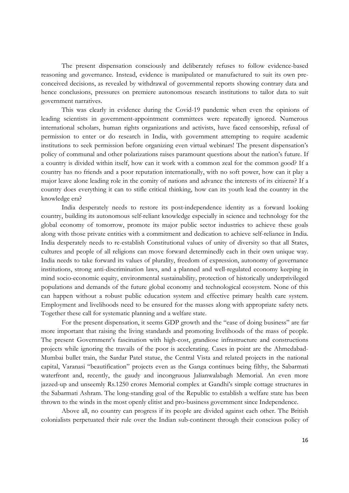The present dispensation consciously and deliberately refuses to follow evidence-based reasoning and governance. Instead, evidence is manipulated or manufactured to suit its own preconceived decisions, as revealed by withdrawal of governmental reports showing contrary data and hence conclusions, pressures on premiere autonomous research institutions to tailor data to suit government narratives.

This was clearly in evidence during the Covid-19 pandemic when even the opinions of leading scientists in government-appointment committees were repeatedly ignored. Numerous international scholars, human rights organizations and activists, have faced censorship, refusal of permission to enter or do research in India, with government attempting to require academic institutions to seek permission before organizing even virtual webinars! The present dispensation's policy of communal and other polarizations raises paramount questions about the nation's future. If a country is divided within itself, how can it work with a common zeal for the common good? If a country has no friends and a poor reputation internationally, with no soft power, how can it play a major leave alone leading role in the comity of nations and advance the interests of its citizens? If a country does everything it can to stifle critical thinking, how can its youth lead the country in the knowledge era?

India desperately needs to restore its post-independence identity as a forward looking country, building its autonomous self-reliant knowledge especially in science and technology for the global economy of tomorrow, promote its major public sector industries to achieve these goals along with those private entities with a commitment and dedication to achieve self-reliance in India. India desperately needs to re-establish Constitutional values of unity of diversity so that all States, cultures and people of all religions can move forward determinedly each in their own unique way. India needs to take forward its values of plurality, freedom of expression, autonomy of governance institutions, strong anti-discrimination laws, and a planned and well-regulated economy keeping in mind socio-economic equity, environmental sustainability, protection of historically underprivileged populations and demands of the future global economy and technological ecosystem. None of this can happen without a robust public education system and effective primary health care system. Employment and livelihoods need to be ensured for the masses along with appropriate safety nets. Together these call for systematic planning and a welfare state.

For the present dispensation, it seems GDP growth and the "ease of doing business" are far more important that raising the living standards and promoting livelihoods of the mass of people. The present Government's fascination with high-cost, grandiose infrastructure and constructions projects while ignoring the travails of the poor is accelerating. Cases in point are the Ahmedabad-Mumbai bullet train, the Sardar Patel statue, the Central Vista and related projects in the national capital, Varanasi "beautification" projects even as the Ganga continues being filthy, the Sabarmati waterfront and, recently, the gaudy and incongruous Jalianwalabagh Memorial. An even more jazzed-up and unseemly Rs.1250 crores Memorial complex at Gandhi's simple cottage structures in the Sabarmati Ashram. The long-standing goal of the Republic to establish a welfare state has been thrown to the winds in the most openly elitist and pro-business government since Independence.

Above all, no country can progress if its people are divided against each other. The British colonialists perpetuated their rule over the Indian sub-continent through their conscious policy of